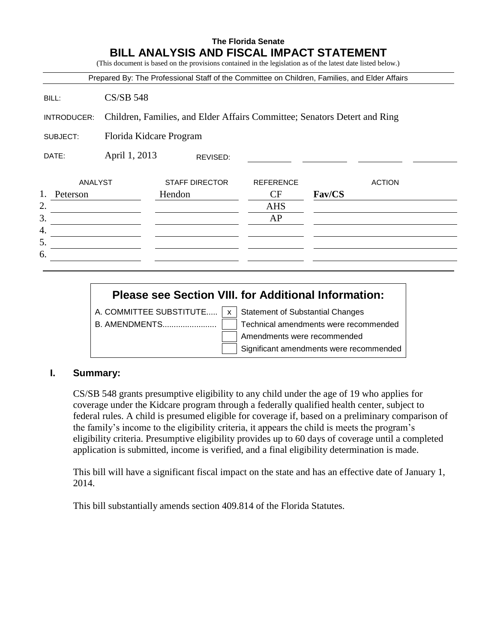#### **The Florida Senate BILL ANALYSIS AND FISCAL IMPACT STATEMENT**

(This document is based on the provisions contained in the legislation as of the latest date listed below.)

|                | Prepared By: The Professional Staff of the Committee on Children, Families, and Elder Affairs |                       |                  |        |               |
|----------------|-----------------------------------------------------------------------------------------------|-----------------------|------------------|--------|---------------|
| BILL:          | <b>CS/SB 548</b>                                                                              |                       |                  |        |               |
| INTRODUCER:    | Children, Families, and Elder Affairs Committee; Senators Detert and Ring                     |                       |                  |        |               |
| SUBJECT:       | Florida Kidcare Program                                                                       |                       |                  |        |               |
| DATE:          | April 1, 2013<br>REVISED:                                                                     |                       |                  |        |               |
| ANALYST        |                                                                                               | <b>STAFF DIRECTOR</b> | <b>REFERENCE</b> |        | <b>ACTION</b> |
| 1.<br>Peterson |                                                                                               | Hendon                | <b>CF</b>        | Fav/CS |               |
| 2.             |                                                                                               |                       | <b>AHS</b>       |        |               |
| 3.             |                                                                                               |                       | AP               |        |               |
| 4.             |                                                                                               |                       |                  |        |               |
| 5.             |                                                                                               |                       |                  |        |               |
| 6.             |                                                                                               |                       |                  |        |               |
|                |                                                                                               |                       |                  |        |               |

# **Please see Section VIII. for Additional Information:**

A. COMMITTEE SUBSTITUTE.....  $x \mid x$  Statement of Substantial Changes

B. AMENDMENTS........................ Technical amendments were recommended Amendments were recommended Significant amendments were recommended

#### **I. Summary:**

CS/SB 548 grants presumptive eligibility to any child under the age of 19 who applies for coverage under the Kidcare program through a federally qualified health center, subject to federal rules. A child is presumed eligible for coverage if, based on a preliminary comparison of the family's income to the eligibility criteria, it appears the child is meets the program's eligibility criteria. Presumptive eligibility provides up to 60 days of coverage until a completed application is submitted, income is verified, and a final eligibility determination is made.

This bill will have a significant fiscal impact on the state and has an effective date of January 1, 2014.

This bill substantially amends section 409.814 of the Florida Statutes.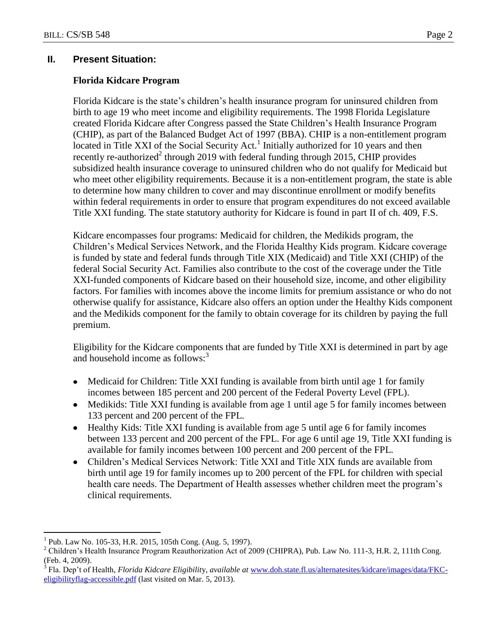# **II. Present Situation:**

# **Florida Kidcare Program**

Florida Kidcare is the state's children's health insurance program for uninsured children from birth to age 19 who meet income and eligibility requirements. The 1998 Florida Legislature created Florida Kidcare after Congress passed the State Children's Health Insurance Program (CHIP), as part of the Balanced Budget Act of 1997 (BBA). CHIP is a non-entitlement program located in Title XXI of the Social Security Act.<sup>1</sup> Initially authorized for 10 years and then recently re-authorized<sup>2</sup> through 2019 with federal funding through 2015, CHIP provides subsidized health insurance coverage to uninsured children who do not qualify for Medicaid but who meet other eligibility requirements. Because it is a non-entitlement program, the state is able to determine how many children to cover and may discontinue enrollment or modify benefits within federal requirements in order to ensure that program expenditures do not exceed available Title XXI funding. The state statutory authority for Kidcare is found in part II of ch. 409, F.S.

Kidcare encompasses four programs: Medicaid for children, the Medikids program, the Children's Medical Services Network, and the Florida Healthy Kids program. Kidcare coverage is funded by state and federal funds through Title XIX (Medicaid) and Title XXI (CHIP) of the federal Social Security Act. Families also contribute to the cost of the coverage under the Title XXI-funded components of Kidcare based on their household size, income, and other eligibility factors. For families with incomes above the income limits for premium assistance or who do not otherwise qualify for assistance, Kidcare also offers an option under the Healthy Kids component and the Medikids component for the family to obtain coverage for its children by paying the full premium.

Eligibility for the Kidcare components that are funded by Title XXI is determined in part by age and household income as follows:<sup>3</sup>

- Medicaid for Children: Title XXI funding is available from birth until age 1 for family incomes between 185 percent and 200 percent of the Federal Poverty Level (FPL).
- Medikids: Title XXI funding is available from age 1 until age 5 for family incomes between 133 percent and 200 percent of the FPL.
- Healthy Kids: Title XXI funding is available from age 5 until age 6 for family incomes between 133 percent and 200 percent of the FPL. For age 6 until age 19, Title XXI funding is available for family incomes between 100 percent and 200 percent of the FPL.
- Children's Medical Services Network: Title XXI and Title XIX funds are available from birth until age 19 for family incomes up to 200 percent of the FPL for children with special health care needs. The Department of Health assesses whether children meet the program's clinical requirements.

 $\overline{a}$ 

<sup>1</sup> Pub. Law No. 105-33, H.R. 2015, 105th Cong. (Aug. 5, 1997).

<sup>2</sup> Children's Health Insurance Program Reauthorization Act of 2009 (CHIPRA), Pub. Law No. 111-3, H.R. 2, 111th Cong. (Feb. 4, 2009).

<sup>3</sup> Fla. Dep't of Health, *Florida Kidcare Eligibilit*y, *available at* [www.doh.state.fl.us/alternatesites/kidcare/images/data/FKC](http://www.doh.state.fl.us/alternatesites/kidcare/images/data/FKC-eligibilityflag-accessible.pdf)[eligibilityflag-accessible.pdf](http://www.doh.state.fl.us/alternatesites/kidcare/images/data/FKC-eligibilityflag-accessible.pdf) (last visited on Mar. 5, 2013).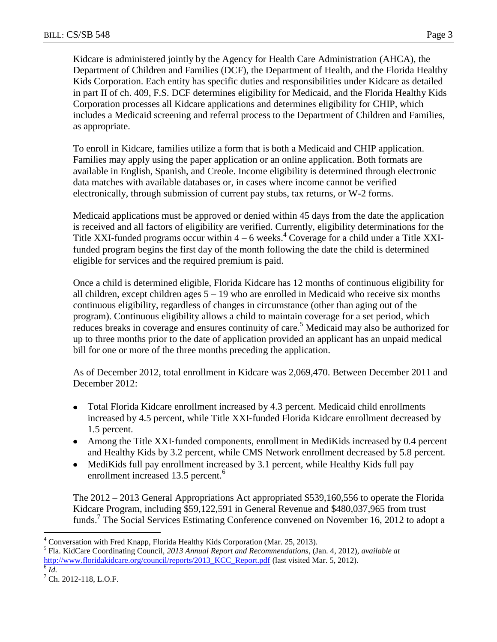Kidcare is administered jointly by the Agency for Health Care Administration (AHCA), the Department of Children and Families (DCF), the Department of Health, and the Florida Healthy Kids Corporation. Each entity has specific duties and responsibilities under Kidcare as detailed in part II of ch. 409, F.S. DCF determines eligibility for Medicaid, and the Florida Healthy Kids Corporation processes all Kidcare applications and determines eligibility for CHIP, which includes a Medicaid screening and referral process to the Department of Children and Families, as appropriate.

To enroll in Kidcare, families utilize a form that is both a Medicaid and CHIP application. Families may apply using the paper application or an online application. Both formats are available in English, Spanish, and Creole. Income eligibility is determined through electronic data matches with available databases or, in cases where income cannot be verified electronically, through submission of current pay stubs, tax returns, or W-2 forms.

Medicaid applications must be approved or denied within 45 days from the date the application is received and all factors of eligibility are verified. Currently, eligibility determinations for the Title XXI-funded programs occur within  $4 - 6$  weeks.<sup>4</sup> Coverage for a child under a Title XXIfunded program begins the first day of the month following the date the child is determined eligible for services and the required premium is paid.

Once a child is determined eligible, Florida Kidcare has 12 months of continuous eligibility for all children, except children ages  $5 - 19$  who are enrolled in Medicaid who receive six months continuous eligibility, regardless of changes in circumstance (other than aging out of the program). Continuous eligibility allows a child to maintain coverage for a set period, which reduces breaks in coverage and ensures continuity of care.<sup>5</sup> Medicaid may also be authorized for up to three months prior to the date of application provided an applicant has an unpaid medical bill for one or more of the three months preceding the application.

As of December 2012, total enrollment in Kidcare was 2,069,470. Between December 2011 and December 2012:

- Total Florida Kidcare enrollment increased by 4.3 percent. Medicaid child enrollments  $\bullet$ increased by 4.5 percent, while Title XXI-funded Florida Kidcare enrollment decreased by 1.5 percent.
- Among the Title XXI-funded components, enrollment in MediKids increased by 0.4 percent and Healthy Kids by 3.2 percent, while CMS Network enrollment decreased by 5.8 percent.
- MediKids full pay enrollment increased by 3.1 percent, while Healthy Kids full pay enrollment increased 13.5 percent.<sup>6</sup>

The 2012 – 2013 General Appropriations Act appropriated \$539,160,556 to operate the Florida Kidcare Program, including \$59,122,591 in General Revenue and \$480,037,965 from trust funds.<sup>7</sup> The Social Services Estimating Conference convened on November 16, 2012 to adopt a

 $\overline{a}$ <sup>4</sup> Conversation with Fred Knapp, Florida Healthy Kids Corporation (Mar. 25, 2013).

<sup>5</sup> Fla. KidCare Coordinating Council, *2013 Annual Report and Recommendations*, (Jan. 4, 2012), *available at*  [http://www.floridakidcare.org/council/reports/2013\\_KCC\\_Report.pdf](http://www.floridakidcare.org/council/reports/2013_KCC_Report.pdf) (last visited Mar. 5, 2012).

 $\overline{6}$   $\overline{Id}$ .

 $<sup>7</sup>$  Ch. 2012-118, L.O.F.</sup>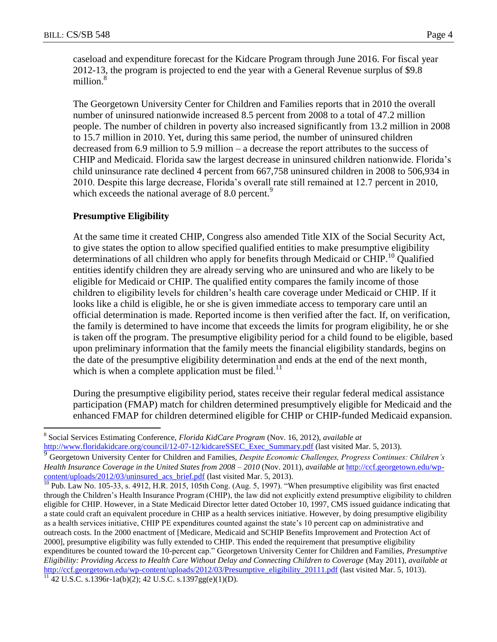$\overline{a}$ 

caseload and expenditure forecast for the Kidcare Program through June 2016. For fiscal year 2012-13, the program is projected to end the year with a General Revenue surplus of \$9.8 million.<sup>8</sup>

The Georgetown University Center for Children and Families reports that in 2010 the overall number of uninsured nationwide increased 8.5 percent from 2008 to a total of 47.2 million people. The number of children in poverty also increased significantly from 13.2 million in 2008 to 15.7 million in 2010. Yet, during this same period, the number of uninsured children decreased from 6.9 million to 5.9 million – a decrease the report attributes to the success of CHIP and Medicaid. Florida saw the largest decrease in uninsured children nationwide. Florida's child uninsurance rate declined 4 percent from 667,758 uninsured children in 2008 to 506,934 in 2010. Despite this large decrease, Florida's overall rate still remained at 12.7 percent in 2010, which exceeds the national average of 8.0 percent.<sup>9</sup>

#### **Presumptive Eligibility**

At the same time it created CHIP, Congress also amended Title XIX of the Social Security Act, to give states the option to allow specified qualified entities to make presumptive eligibility determinations of all children who apply for benefits through Medicaid or CHIP.<sup>10</sup> Qualified entities identify children they are already serving who are uninsured and who are likely to be eligible for Medicaid or CHIP. The qualified entity compares the family income of those children to eligibility levels for children's health care coverage under Medicaid or CHIP. If it looks like a child is eligible, he or she is given immediate access to temporary care until an official determination is made. Reported income is then verified after the fact. If, on verification, the family is determined to have income that exceeds the limits for program eligibility, he or she is taken off the program. The presumptive eligibility period for a child found to be eligible, based upon preliminary information that the family meets the financial eligibility standards, begins on the date of the presumptive eligibility determination and ends at the end of the next month, which is when a complete application must be filed.<sup>11</sup>

During the presumptive eligibility period, states receive their regular federal medical assistance participation (FMAP) match for children determined presumptively eligible for Medicaid and the enhanced FMAP for children determined eligible for CHIP or CHIP-funded Medicaid expansion.

<sup>8</sup> Social Services Estimating Conference, *Florida KidCare Program* (Nov. 16, 2012), *available at*  [http://www.floridakidcare.org/council/12-07-12/kidcareSSEC\\_Exec\\_Summary.pdf](http://www.floridakidcare.org/council/12-07-12/kidcareSSEC_Exec_Summary.pdf) (last visited Mar. 5, 2013).

<sup>9</sup> Georgetown University Center for Children and Families, *Despite Economic Challenges, Progress Continues: Children's Health Insurance Coverage in the United States from 2008 – 2010* (Nov. 2011), *available at* [http://ccf.georgetown.edu/wp](http://ccf.georgetown.edu/wp-content/uploads/2012/03/uninsured_acs_brief.pdf)[content/uploads/2012/03/uninsured\\_acs\\_brief.pdf](http://ccf.georgetown.edu/wp-content/uploads/2012/03/uninsured_acs_brief.pdf) (last visited Mar. 5, 2013).

<sup>&</sup>lt;sup>10</sup> Pub. Law No. 105-33, s. 4912, H.R. 2015, 105th Cong. (Aug. 5, 1997). "When presumptive eligibility was first enacted through the Children's Health Insurance Program (CHIP), the law did not explicitly extend presumptive eligibility to children eligible for CHIP. However, in a State Medicaid Director letter dated October 10, 1997, CMS issued guidance indicating that a state could craft an equivalent procedure in CHIP as a health services initiative. However, by doing presumptive eligibility as a health services initiative, CHIP PE expenditures counted against the state's 10 percent cap on administrative and outreach costs. In the 2000 enactment of [Medicare, Medicaid and SCHIP Benefits Improvement and Protection Act of 2000], presumptive eligibility was fully extended to CHIP. This ended the requirement that presumptive eligibility expenditures be counted toward the 10-percent cap." Georgetown University Center for Children and Families, *Presumptive Eligibility: Providing Access to Health Care Without Delay and Connecting Children to Coverage* (May 2011), *available at*  [http://ccf.georgetown.edu/wp-content/uploads/2012/03/Presumptive\\_eligibility\\_20111.pdf](http://ccf.georgetown.edu/wp-content/uploads/2012/03/Presumptive_eligibility_20111.pdf) (last visited Mar. 5, 1013).  $^{11}$  42 U.S.C. s.1396r-1a(b)(2); 42 U.S.C. s.1397gg(e)(1)(D).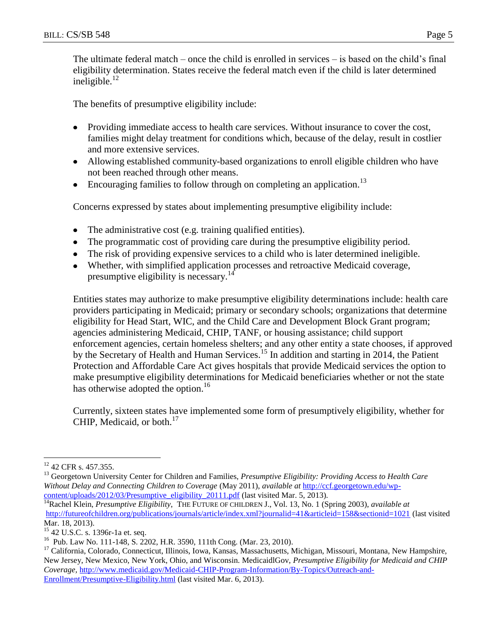The ultimate federal match – once the child is enrolled in services – is based on the child's final eligibility determination. States receive the federal match even if the child is later determined ineligible. $12$ 

The benefits of presumptive eligibility include:

- Providing immediate access to health care services. Without insurance to cover the cost, families might delay treatment for conditions which, because of the delay, result in costlier and more extensive services.
- Allowing established community-based organizations to enroll eligible children who have not been reached through other means.
- **•** Encouraging families to follow through on completing an application.<sup>13</sup>

Concerns expressed by states about implementing presumptive eligibility include:

- The administrative cost (e.g. training qualified entities).  $\bullet$
- The programmatic cost of providing care during the presumptive eligibility period.
- The risk of providing expensive services to a child who is later determined ineligible.
- Whether, with simplified application processes and retroactive Medicaid coverage, presumptive eligibility is necessary.<sup>14</sup>

Entities states may authorize to make presumptive eligibility determinations include: health care providers participating in Medicaid; primary or secondary schools; organizations that determine eligibility for Head Start, WIC, and the Child Care and Development Block Grant program; agencies administering Medicaid, CHIP, TANF, or housing assistance; child support enforcement agencies, certain homeless shelters; and any other entity a state chooses, if approved by the Secretary of Health and Human Services.<sup>15</sup> In addition and starting in 2014, the Patient Protection and Affordable Care Act gives hospitals that provide Medicaid services the option to make presumptive eligibility determinations for Medicaid beneficiaries whether or not the state has otherwise adopted the option.<sup>16</sup>

Currently, sixteen states have implemented some form of presumptively eligibility, whether for CHIP, Medicaid, or both. $17$ 

 $\overline{a}$ 

<sup>&</sup>lt;sup>12</sup> 42 CFR s. 457.355.

<sup>&</sup>lt;sup>13</sup> Georgetown University Center for Children and Families, *Presumptive Eligibility: Providing Access to Health Care Without Delay and Connecting Children to Coverage* (May 2011), *available at* [http://ccf.georgetown.edu/wp](http://ccf.georgetown.edu/wp-content/uploads/2012/03/Presumptive_eligibility_20111.pdf)[content/uploads/2012/03/Presumptive\\_eligibility\\_20111.pdf](http://ccf.georgetown.edu/wp-content/uploads/2012/03/Presumptive_eligibility_20111.pdf) (last visited Mar. 5, 2013).

<sup>&</sup>lt;sup>14</sup>Rachel Klein, *Presumptive Eligibility*, THE FUTURE OF CHILDREN J., Vol. 13, No. 1 (Spring 2003), *available at* [http://futureofchildren.org/publications/journals/article/index.xml?journalid=41&articleid=158&sectionid=1021](http://futureofchildren.org/publications/journals/article/index.xml?journalid=41&articleid=158§ionid=1021) (last visited Mar. 18, 2013).

<sup>15</sup> 42 U.S.C. s. 1396r-1a et. seq.

<sup>16</sup> Pub. Law No. 111-148, S. 2202, H.R. 3590, 111th Cong. (Mar. 23, 2010).

<sup>&</sup>lt;sup>17</sup> California, Colorado, Connecticut, Illinois, Iowa, Kansas, Massachusetts, Michigan, Missouri, Montana, New Hampshire, New Jersey, New Mexico, New York, Ohio, and Wisconsin. MedicaidlGov, *Presumptive Eligibility for Medicaid and CHIP Coverage,* [http://www.medicaid.gov/Medicaid-CHIP-Program-Information/By-Topics/Outreach-and-](http://www.medicaid.gov/Medicaid-CHIP-Program-Information/By-Topics/Outreach-and-Enrollment/Presumptive-Eligibility.html)[Enrollment/Presumptive-Eligibility.html](http://www.medicaid.gov/Medicaid-CHIP-Program-Information/By-Topics/Outreach-and-Enrollment/Presumptive-Eligibility.html) (last visited Mar. 6, 2013).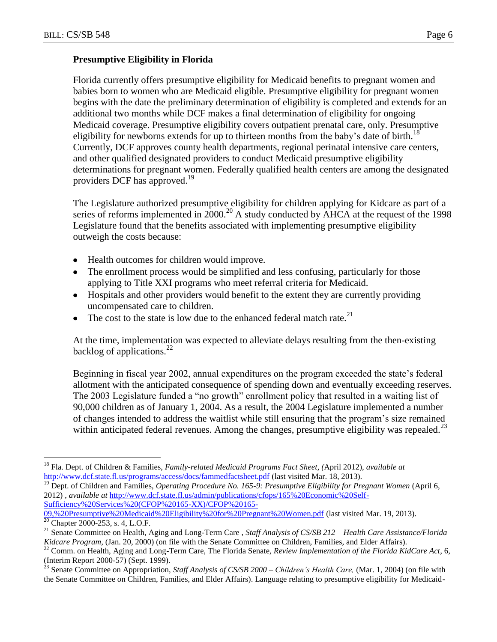#### **Presumptive Eligibility in Florida**

Florida currently offers presumptive eligibility for Medicaid benefits to pregnant women and babies born to women who are Medicaid eligible. Presumptive eligibility for pregnant women begins with the date the preliminary determination of eligibility is completed and extends for an additional two months while DCF makes a final determination of eligibility for ongoing Medicaid coverage. Presumptive eligibility covers outpatient prenatal care, only. Presumptive eligibility for newborns extends for up to thirteen months from the baby's date of birth.<sup>18</sup> Currently, DCF approves county health departments, regional perinatal intensive care centers, and other qualified designated providers to conduct Medicaid presumptive eligibility determinations for pregnant women. Federally qualified health centers are among the designated providers DCF has approved. 19

The Legislature authorized presumptive eligibility for children applying for Kidcare as part of a series of reforms implemented in  $2000$ <sup>20</sup> A study conducted by  $\overrightarrow{AHCA}$  at the request of the 1998 Legislature found that the benefits associated with implementing presumptive eligibility outweigh the costs because:

- Health outcomes for children would improve.
- The enrollment process would be simplified and less confusing, particularly for those applying to Title XXI programs who meet referral criteria for Medicaid.
- Hospitals and other providers would benefit to the extent they are currently providing uncompensated care to children.
- The cost to the state is low due to the enhanced federal match rate.<sup>21</sup>

At the time, implementation was expected to alleviate delays resulting from the then-existing backlog of applications. $^{22}$ 

Beginning in fiscal year 2002, annual expenditures on the program exceeded the state's federal allotment with the anticipated consequence of spending down and eventually exceeding reserves. The 2003 Legislature funded a "no growth" enrollment policy that resulted in a waiting list of 90,000 children as of January 1, 2004. As a result, the 2004 Legislature implemented a number of changes intended to address the waitlist while still ensuring that the program's size remained within anticipated federal revenues. Among the changes, presumptive eligibility was repealed.<sup>23</sup>

<sup>19</sup> Dept. of Children and Families, *Operating Procedure No. 165-9: Presumptive Eligibility for Pregnant Women* (April 6, 2012) , *available at* [http://www.dcf.state.fl.us/admin/publications/cfops/165%20Economic%20Self-](http://www.dcf.state.fl.us/admin/publications/cfops/165%20Economic%20Self-Sufficiency%20Services%20(CFOP%20165-XX)/CFOP%20165-09,%20Presumptive%20Medicaid%20Eligibility%20for%20Pregnant%20Women.pdf)[Sufficiency%20Services%20\(CFOP%20165-XX\)/CFOP%20165-](http://www.dcf.state.fl.us/admin/publications/cfops/165%20Economic%20Self-Sufficiency%20Services%20(CFOP%20165-XX)/CFOP%20165-09,%20Presumptive%20Medicaid%20Eligibility%20for%20Pregnant%20Women.pdf) [09,%20Presumptive%20Medicaid%20Eligibility%20for%20Pregnant%20Women.pdf](http://www.dcf.state.fl.us/admin/publications/cfops/165%20Economic%20Self-Sufficiency%20Services%20(CFOP%20165-XX)/CFOP%20165-09,%20Presumptive%20Medicaid%20Eligibility%20for%20Pregnant%20Women.pdf) (last visited Mar. 19, 2013).

 $\overline{a}$ <sup>18</sup> Fla. Dept. of Children & Families, *Family-related Medicaid Programs Fact Sheet, (*April 2012), *available at* <http://www.dcf.state.fl.us/programs/access/docs/fammedfactsheet.pdf> (last visited Mar. 18, 2013).

 $\frac{20}{20}$  Chapter 2000-253, s. 4, L.O.F.

<sup>21</sup> Senate Committee on Health, Aging and Long-Term Care , *Staff Analysis of CS/SB 212 – Health Care Assistance/Florida Kidcare Program*, (Jan. 20, 2000) (on file with the Senate Committee on Children, Families, and Elder Affairs).

<sup>&</sup>lt;sup>22</sup> Comm. on Health, Aging and Long-Term Care, The Florida Senate, Review Implementation of the Florida KidCare Act, 6, (Interim Report 2000-57) (Sept. 1999).

<sup>23</sup> Senate Committee on Appropriation, *Staff Analysis of CS/SB 2000 – Children's Health Care,* (Mar. 1, 2004) (on file with the Senate Committee on Children, Families, and Elder Affairs). Language relating to presumptive eligibility for Medicaid-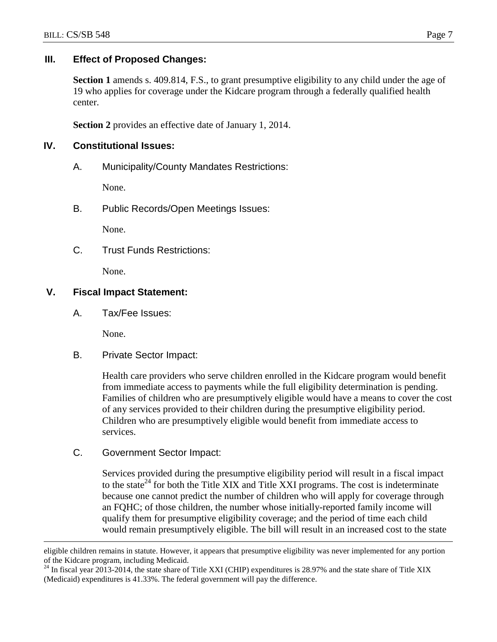#### **III. Effect of Proposed Changes:**

**Section 1** amends s. 409.814, F.S., to grant presumptive eligibility to any child under the age of 19 who applies for coverage under the Kidcare program through a federally qualified health center.

**Section 2** provides an effective date of January 1, 2014.

#### **IV. Constitutional Issues:**

A. Municipality/County Mandates Restrictions:

None.

B. Public Records/Open Meetings Issues:

None.

C. Trust Funds Restrictions:

None.

# **V. Fiscal Impact Statement:**

A. Tax/Fee Issues:

None.

 $\overline{a}$ 

B. Private Sector Impact:

Health care providers who serve children enrolled in the Kidcare program would benefit from immediate access to payments while the full eligibility determination is pending. Families of children who are presumptively eligible would have a means to cover the cost of any services provided to their children during the presumptive eligibility period. Children who are presumptively eligible would benefit from immediate access to services.

C. Government Sector Impact:

Services provided during the presumptive eligibility period will result in a fiscal impact to the state<sup>24</sup> for both the Title XIX and Title XXI programs. The cost is indeterminate because one cannot predict the number of children who will apply for coverage through an FQHC; of those children, the number whose initially-reported family income will qualify them for presumptive eligibility coverage; and the period of time each child would remain presumptively eligible. The bill will result in an increased cost to the state

eligible children remains in statute. However, it appears that presumptive eligibility was never implemented for any portion of the Kidcare program, including Medicaid.

 $^{24}$  In fiscal year 2013-2014, the state share of Title XXI (CHIP) expenditures is 28.97% and the state share of Title XIX (Medicaid) expenditures is 41.33%. The federal government will pay the difference.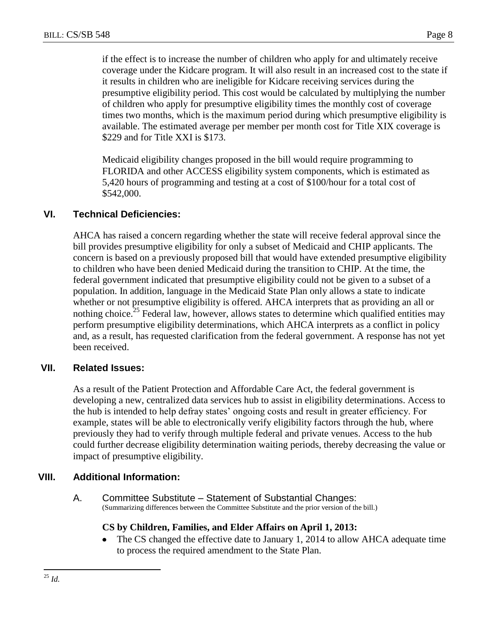if the effect is to increase the number of children who apply for and ultimately receive coverage under the Kidcare program. It will also result in an increased cost to the state if it results in children who are ineligible for Kidcare receiving services during the presumptive eligibility period. This cost would be calculated by multiplying the number of children who apply for presumptive eligibility times the monthly cost of coverage times two months, which is the maximum period during which presumptive eligibility is available. The estimated average per member per month cost for Title XIX coverage is \$229 and for Title XXI is \$173.

Medicaid eligibility changes proposed in the bill would require programming to FLORIDA and other ACCESS eligibility system components, which is estimated as 5,420 hours of programming and testing at a cost of \$100/hour for a total cost of \$542,000.

# **VI. Technical Deficiencies:**

AHCA has raised a concern regarding whether the state will receive federal approval since the bill provides presumptive eligibility for only a subset of Medicaid and CHIP applicants. The concern is based on a previously proposed bill that would have extended presumptive eligibility to children who have been denied Medicaid during the transition to CHIP. At the time, the federal government indicated that presumptive eligibility could not be given to a subset of a population. In addition, language in the Medicaid State Plan only allows a state to indicate whether or not presumptive eligibility is offered. AHCA interprets that as providing an all or nothing choice.<sup>25</sup> Federal law, however, allows states to determine which qualified entities may perform presumptive eligibility determinations, which AHCA interprets as a conflict in policy and, as a result, has requested clarification from the federal government. A response has not yet been received.

#### **VII. Related Issues:**

As a result of the Patient Protection and Affordable Care Act, the federal government is developing a new, centralized data services hub to assist in eligibility determinations. Access to the hub is intended to help defray states' ongoing costs and result in greater efficiency. For example, states will be able to electronically verify eligibility factors through the hub, where previously they had to verify through multiple federal and private venues. Access to the hub could further decrease eligibility determination waiting periods, thereby decreasing the value or impact of presumptive eligibility.

#### **VIII. Additional Information:**

A. Committee Substitute – Statement of Substantial Changes: (Summarizing differences between the Committee Substitute and the prior version of the bill.)

#### **CS by Children, Families, and Elder Affairs on April 1, 2013:**

The CS changed the effective date to January 1, 2014 to allow AHCA adequate time  $\bullet$ to process the required amendment to the State Plan.